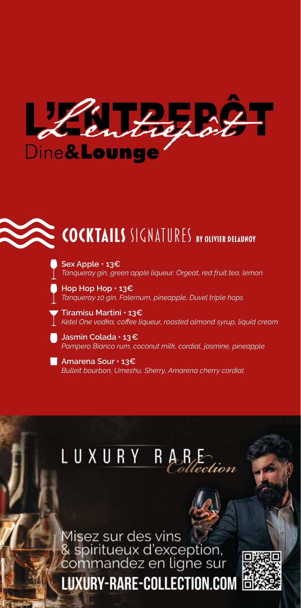

# **COCKTAILS** SIGNATURES **by Olivier Delaunoy**

**Sex Apple • 13€** *Tanqueray gin, green apple liqueur, Orgeat, red fruit tea, lemon*

**Hop Hop Hop • 13€** *Tanqueray 10 gin, Falernum, pineapple, Duvel triple hops*

**Tiramisu Martini • 13€** *Ketel One vodka, coffee liqueur, roasted almond syrup, liquid cream*

**Jasmin Colada • 13€**  *Pampero Bianco rum, coconut milk, cordial, jasmine, pineapple*

**Amarena Sour • 13€** *Bulleit bourbon, Umeshu, Sherry, Amarena cherry cordial*

### LUXURY R tection

Misez sur des vins<br>& spiritueux d'exception,<br>commandez en ligne sur **LUXURY-RARE-COLLECTION.COM** 

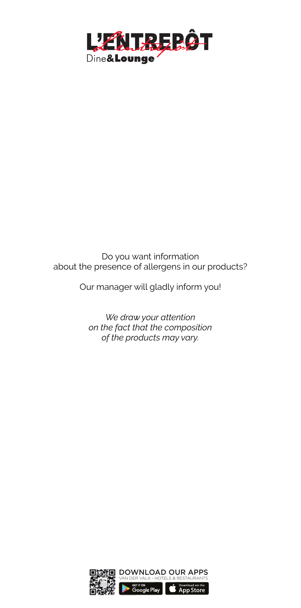

### Do you want information about the presence of allergens in our products?

Our manager will gladly inform you!

*We draw your attention on the fact that the composition of the products may vary.*

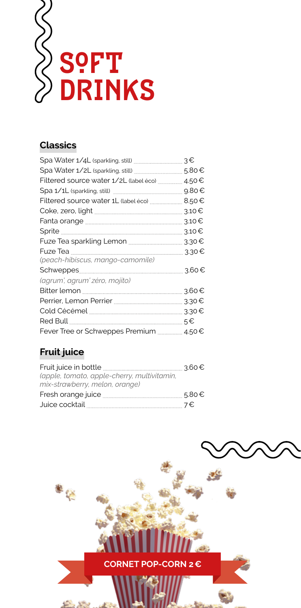

## **Classics**

| з€    |
|-------|
| 5.80€ |
|       |
| 9.80€ |
| 8.50€ |
| 3.10€ |
|       |
| 3.10€ |
|       |
| 3.30€ |
|       |
| 3.60€ |
|       |
| 3.60€ |
| 3.30€ |
| 3.30€ |
| 5€    |
|       |
|       |

# **Fruit juice**

|                                             | 3.60€ |
|---------------------------------------------|-------|
| (apple, tomato, apple-cherry, multivitamin, |       |
| mix-strawberry, melon, orange)              |       |
|                                             | 5.80€ |
| Juice cocktail                              | 7€    |

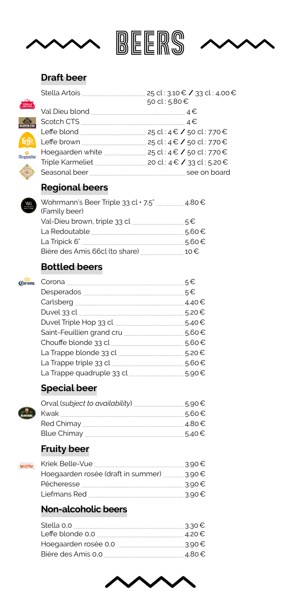

| BEERS |  |
|-------|--|
|-------|--|

$$
\overline{\phantom{0}}
$$

### **Draft beer**

 $rac{1}{\sqrt{1-\frac{1}{2}}}\sqrt{\frac{1}{2}}$ 

**Jeffe Hospanden** 

**Contract** 

W<sub>O-Brease</sub>

| 25 cl : 3.10 € / 33 cl : 4.00 €<br>50 cl : 5.80 €     |
|-------------------------------------------------------|
|                                                       |
|                                                       |
|                                                       |
|                                                       |
|                                                       |
|                                                       |
| Triple Karmeliet <u></u> 20 cl : 4 € / 33 cl : 5.20 € |
|                                                       |
|                                                       |

# **Regional beers**

| 5.60€                                                               |
|---------------------------------------------------------------------|
| 5.60€                                                               |
| Bière des Amis 66cl (to share) [[[[[[[[[[[[[[[[[[[[[[[[]]]]]]] 10 € |
|                                                                     |

# **Bottled beers**



| 5€          |
|-------------|
| $5 \in$     |
| $.4.40 \in$ |
| 5.20€       |
| 5.40€       |
| 5.60€       |
| 5.60€       |
| 5.20€       |
| 5.60€       |
| 5.90€       |
|             |

# **Special beer**



BELLEVILE

| 5.60€ |
|-------|
|       |
| 5.40€ |
|       |

# **Fruity beer**

|                                           | 3.90 € |
|-------------------------------------------|--------|
| Hoegaarden rosée (draft in summer) 3.90 € |        |
|                                           | 3.90€  |
| Liefmans Red                              | 3.90 € |
|                                           |        |

# **Non-alcoholic beers**

| 3.30 € |
|--------|
| 4.20€  |
| 3.90€  |
|        |

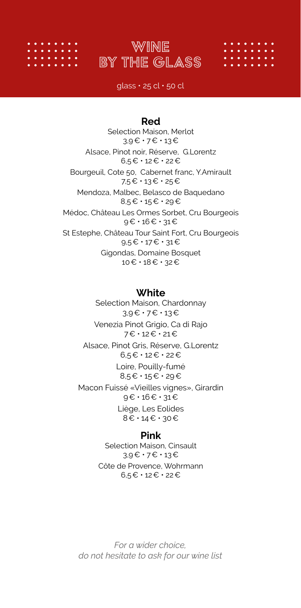



glass  $\cdot$  25 cl  $\cdot$  50 cl

### **Red**

Selection Maison, Merlot 3,9€ • 7€ • 13€ Alsace, Pinot noir, Réserve, G.Lorentz 6,5€ • 12€ • 22€ Bourgeuil, Cote 50, Cabernet franc, Y.Amirault 7,5€ • 13€ • 25€ Mendoza, Malbec, Belasco de Baquedano 8,5€ • 15€ • 29€ Médoc, Château Les Ormes Sorbet, Cru Bourgeois 9€ • 16€ • 31€ St Estephe, Château Tour Saint Fort, Cru Bourgeois 9,5€ • 17€ • 31€ Gigondas, Domaine Bosquet 10€ • 18€ • 32€

### **White**

Selection Maison, Chardonnay 3,9€ • 7€ • 13€ Venezia Pinot Grigio, Ca di Rajo 7€ • 12€ • 21€ Alsace, Pinot Gris, Réserve, G.Lorentz 6,5€ • 12€ • 22€ Loire, Pouilly-fumé 8,5€ • 15€ • 29€ Macon Fuissé «Vieilles vignes», Girardin 9€ • 16€ • 31€ Liège, Les Eolides 8€ • 14€ • 30€

### **Pink**

Selection Maison, Cinsault 3,9€ • 7€ • 13€ Côte de Provence, Wohrmann 6,5€ • 12€ • 22€

*For a wider choice, do not hesitate to ask for our wine list*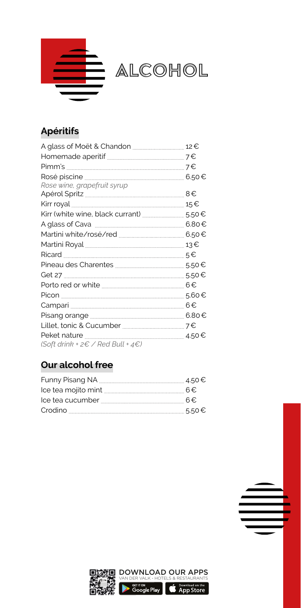

# **Apéritifs**

| Rose wine, grapefruit syrup                              |       |
|----------------------------------------------------------|-------|
|                                                          | 8€    |
|                                                          | 15€   |
|                                                          |       |
|                                                          |       |
|                                                          |       |
|                                                          |       |
|                                                          |       |
|                                                          |       |
|                                                          |       |
|                                                          |       |
|                                                          | 5.60€ |
|                                                          |       |
|                                                          |       |
|                                                          |       |
|                                                          |       |
| (Soft drink + $2 \in \angle$ Red Bull + $4 \in \angle$ ) |       |

# **Our alcohol free**

| $lce$ tea mojito mint $\frac{1}{l}$ 6 $\in$ |       |
|---------------------------------------------|-------|
|                                             |       |
|                                             | 5.50€ |

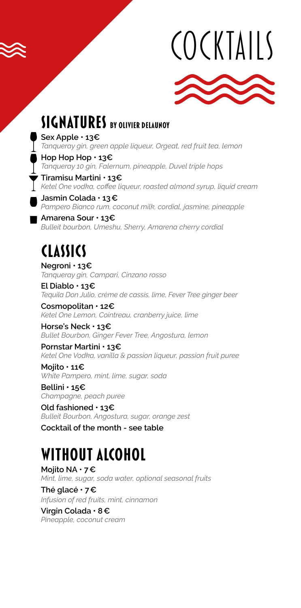# COCKTAILS



# **SIGNATURES** BY OLIVIER DELAUNOY

**Sex Apple • 13€** *Tanqueray gin, green apple liqueur, Orgeat, red fruit tea, lemon*

**Hop Hop Hop • 13€** *Tanqueray 10 gin, Falernum, pineapple, Duvel triple hops*

**Tiramisu Martini • 13€** *Ketel One vodka, coffee liqueur, roasted almond syrup, liquid cream*

**Jasmin Colada • 13€**  *Pampero Bianco rum, coconut milk, cordial, jasmine, pineapple*

**Amarena Sour • 13€** *Bulleit bourbon, Umeshu, Sherry, Amarena cherry cordial*

# **classics**

**Negroni • 13€** *Tanqueray gin, Campari, Cinzano rosso*

**El Diablo • 13€** *Tequila Don Julio, crème de cassis, lime, Fever Tree ginger beer*

**Cosmopolitan • 12€** *Ketel One Lemon, Cointreau, cranberry juice, lime*

**Horse's Neck • 13€** *Bullet Bourbon, Ginger Fever Tree, Angostura, lemon*

**Pornstar Martini • 13€** *Ketel One Vodka, vanilla & passion liqueur, passion fruit puree*

**Mojito • 11€** *White Pampero, mint, lime, sugar, soda*

**Bellini • 15€** *Champagne, peach puree*

**Old fashioned • 13€** *Bulleit Bourbon, Angostura, sugar, orange zest* **Cocktail of the month - see table**

# **without alcohol**

**Mojito NA • 7€** *Mint, lime, sugar, soda water, optional seasonal fruits* **Thé glacé • 7€**

*Infusion of red fruits, mint, cinnamon*

**Virgin Colada • 8€** *Pineapple, coconut cream*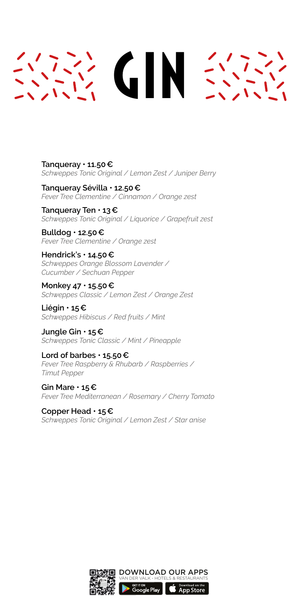# **GIN SYS**

**Tanqueray • 11.50€** *Schweppes Tonic Original / Lemon Zest / Juniper Berry* 

**Tanqueray Sévilla • 12.50€** *Fever Tree Clementine / Cinnamon / Orange zest*

**Tanqueray Ten • 13€** *Schweppes Tonic Original / Liquorice / Grapefruit zest* 

**Bulldog • 12.50€** *Fever Tree Clementine / Orange zest* 

**Hendrick's • 14.50€** *Schweppes Orange Blossom Lavender / Cucumber / Sechuan Pepper*

**Monkey 47 • 15.50€** *Schweppes Classic / Lemon Zest / Orange Zest*

**Liégin • 15€** *Schweppes Hibiscus / Red fruits / Mint*

**Jungle Gin • 15€** *Schweppes Tonic Classic / Mint / Pineapple*

**Lord of barbes • 15.50€** *Fever Tree Raspberry & Rhubarb / Raspberries / Timut Pepper*

**Gin Mare • 15€** *Fever Tree Mediterranean / Rosemary / Cherry Tomato*

**Copper Head • 15€** *Schweppes Tonic Original / Lemon Zest / Star anise* 

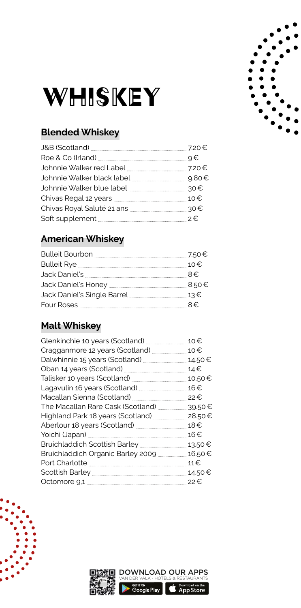

# **Blended Whiskey**

# **American Whiskey**

# **Malt Whiskey**

|                                                       | 10€    |
|-------------------------------------------------------|--------|
| Cragganmore 12 years (Scotland) manuscrim and         | 10€    |
|                                                       |        |
|                                                       | 14.50€ |
|                                                       | 14€    |
|                                                       | 10.50€ |
|                                                       | 16€    |
|                                                       | 22€    |
| The Macallan Rare Cask (Scotland) <b>The Macallan</b> | 39.50€ |
| Highland Park 18 years (Scotland) <b>Manual</b>       | 28.50€ |
|                                                       | 18€    |
|                                                       | 16€    |
|                                                       | 13.50€ |
|                                                       | 16.50€ |
|                                                       | 11€    |
|                                                       | 14.50€ |
|                                                       | 22€    |
|                                                       |        |





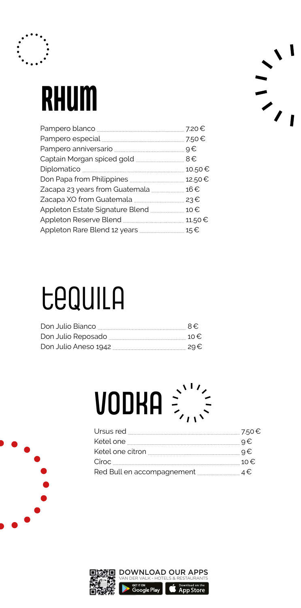

# Rhum

| 10.50€ |
|--------|
|        |
| 16€    |
|        |
| 10€    |
|        |
|        |

# $\frac{1}{\sqrt{2}}$

# tequila

| Don Julio Bianco     | $R \in \mathbb{R}$ |
|----------------------|--------------------|
|                      |                    |
| Don Julio Aneso 1942 | 29€                |

# vodka  $\frac{1}{2}$

| o€  |
|-----|
| o€  |
| 10€ |
|     |

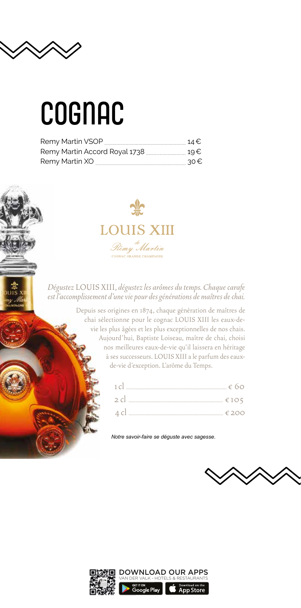

# **COGNAC**

|                               | $14 \in$ |
|-------------------------------|----------|
| Remy Martin Accord Royal 1738 | 19€      |
| Remy Martin XO                | 30 €     |



*Dégustez* LOUIS XIII, *dégustez les arômes du temps. Chaque carafe est l'accomplissement d'une vie pour des générations de maîtres de chai.*

> Depuis ses origines en 1874, chaque génération de maîtres de chai sélectionne pour le cognac LOUIS XIII les eaux-devie les plus âgées et les plus exceptionnelles de nos chais. Aujourd'hui, Baptiste Loiseau, maître de chai, choisi nos meilleures eaux-de-vie qu'il laissera en héritage à ses successeurs. LOUIS XIII a le parfum des eauxde-vie d'exception. L'arôme du Temps.

| 4 cl |  |
|------|--|

*Notre savoir-faire se déguste avec sagesse.*



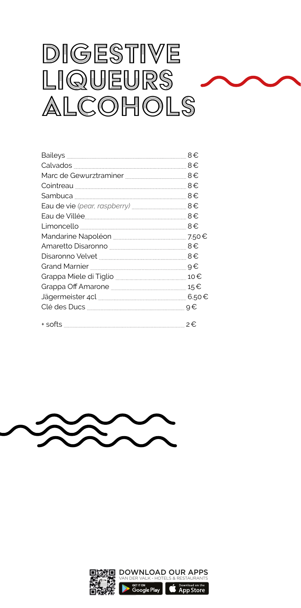# digestive liqueurs alcohols

| Eau de Villée 2000 annuaireach an 8€ |       |
|--------------------------------------|-------|
|                                      |       |
|                                      |       |
|                                      |       |
|                                      |       |
|                                      |       |
|                                      |       |
|                                      | 15€   |
|                                      | 6.50€ |
|                                      |       |
|                                      |       |